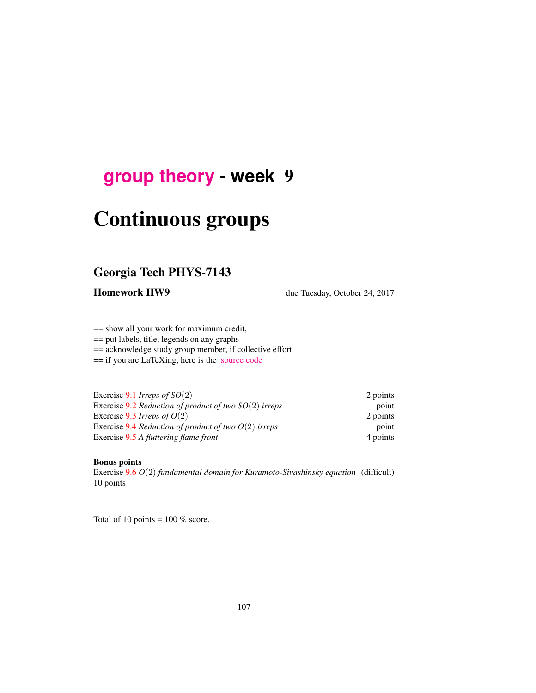## <span id="page-0-0"></span>**[group theory](http://birdtracks.eu/courses/PHYS-7143-17/schedule.html) - week** 9

# Continuous groups

## Georgia Tech PHYS-7143

Homework HW9 due Tuesday, October 24, 2017

== show all your work for maximum credit,

== put labels, title, legends on any graphs

== acknowledge study group member, if collective effort

== if you are LaTeXing, here is the [source code](http://birdtracks.eu/courses/PHYS-7143-17/exerWeek9.tex)

| Exercise 9.1 Irreps of $SO(2)$                          | 2 points |
|---------------------------------------------------------|----------|
| Exercise 9.2 Reduction of product of two $SO(2)$ irreps | 1 point  |
| Exercise 9.3 Irreps of $O(2)$                           | 2 points |
| Exercise 9.4 Reduction of product of two $O(2)$ irreps  | 1 point  |
| Exercise 9.5 A fluttering flame front                   | 4 points |

#### Bonus points

Exercise 9.6 *O*(2) *fundamental domain for Kuramoto-Sivashinsky equation* (difficult) 10 points

Total of 10 points =  $100\%$  score.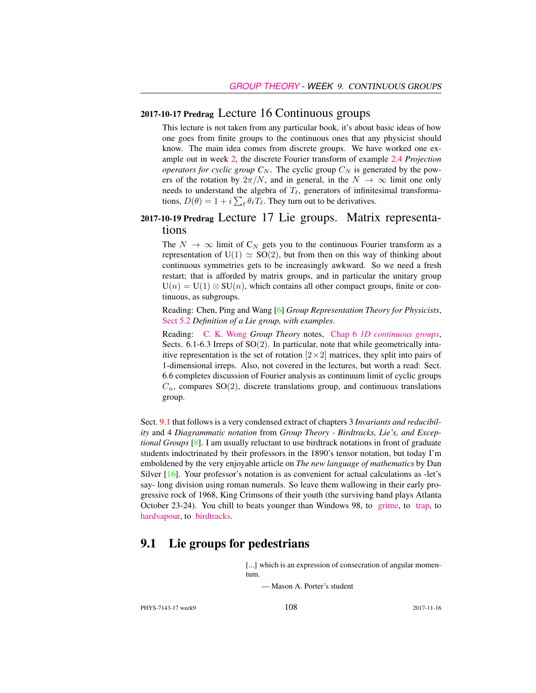#### 2017-10-17 Predrag Lecture 16 Continuous groups

This lecture is not taken from any particular book, it's about basic ideas of how one goes from finite groups to the continuous ones that any physicist should know. The main idea comes from discrete groups. We have worked one example out in week 2, the discrete Fourier transform of example 2.4 *Projection operators for cyclic group*  $C_N$ . The cyclic group  $C_N$  is generated by the powers of the rotation by  $2\pi/N$ , and in general, in the  $N \to \infty$  limit one only needs to understand the algebra of  $T_\ell$ , generators of infinitesimal transformations,  $D(\theta) = 1 + i \sum_{\ell} \theta_{\ell} T_{\ell}$ . They turn out to be derivatives.

## 2017-10-19 Predrag Lecture 17 Lie groups. Matrix representations

The  $N \to \infty$  limit of  $C_N$  gets you to the continuous Fourier transform as a representation of  $U(1) \simeq SO(2)$ , but from then on this way of thinking about continuous symmetries gets to be increasingly awkward. So we need a fresh restart; that is afforded by matrix groups, and in particular the unitary group  $U(n) = U(1) \otimes SU(n)$ , which contains all other compact groups, finite or continuous, as subgroups.

Reading: Chen, Ping and Wang [6] *Group Representation Theory for Physicists*, [Sect 5.2](http://chaosbook.org/library/Chen5-2.pdf) *Definition of a Lie group, with examples*.

Reading: [C. K. Wong](http://ckw.phys.ncku.edu.tw/) *Group Theory* notes, Chap 6 *[1D continuous groups](http://ckw.phys.ncku.edu.tw/public/pub/Notes/Mathematics/GroupTheory/Tung/Powerpoint/6._1DContinuousGroups.ppt)*, Sects.  $6.1-6.3$  Irreps of  $SO(2)$ . In particular, note that while geometrically intuitive representation is the set of rotation  $[2 \times 2]$  matrices, they split into pairs of 1-dimensional irreps. Also, not covered in the lectures, but worth a read: Sect. 6.6 completes discussion of Fourier analysis as continuum limit of cyclic groups  $C_n$ , compares SO(2), discrete translations group, and continuous translations group.

Sect. 9.1 that follows is a very condensed extract of chapters 3 *Invariants and reducibility* and 4 *Diagrammatic notation* from *Group Theory - Birdtracks, Lie's, and Exceptional Groups* [8]. I am usually reluctant to use birdtrack notations in front of graduate students indoctrinated by their professors in the 1890's tensor notation, but today I'm emboldened by the very enjoyable article on *The new language of mathematics* by Dan Silver [16]. Your professor's notation is as convenient for actual calculations as -let's say- long division using roman numerals. So leave them wallowing in their early progressive rock of 1968, King Crimsons of their youth (the surviving band plays Atlanta October 23-24). You chill to beats younger than Windows 98, to [grime,](https://www.youtube.com/watch?v=RqQGUJK7Na4) to [trap,](https://www.youtube.com/watch?v=i_kF4zLNKio) to [hardvapour,](https://antifurdigital.bandcamp.com/album/hardvapour-2) to [birdtracks.](https://www.youtube.com/watch?v=XMGbY1csVnI)

## 9.1 Lie groups for pedestrians

[...] which is an expression of consecration of angular momentum.

— Mason A. Porter's student

PHYS-7143-17 week9 2017-11-16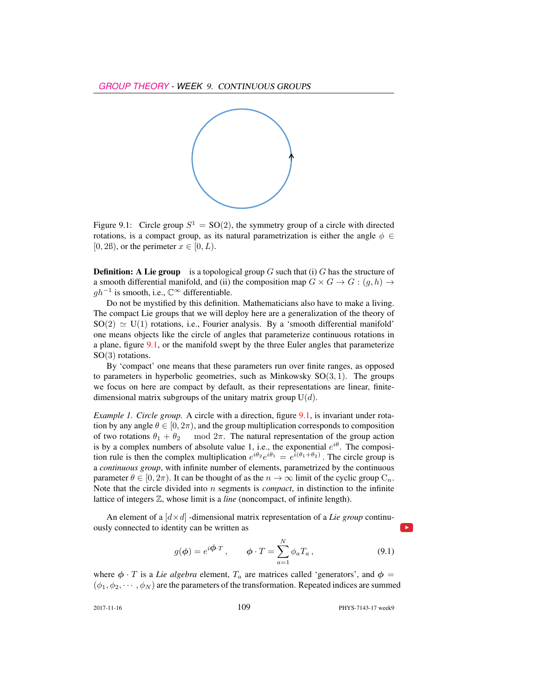

Figure 9.1: Circle group  $S^1 = SO(2)$ , the symmetry group of a circle with directed rotations, is a compact group, as its natural parametrization is either the angle  $\phi \in$ [0, 2ß], or the perimeter  $x \in [0, L)$ .

**Definition:** A Lie group is a topological group G such that (i) G has the structure of a smooth differential manifold, and (ii) the composition map  $G \times G \to G : (g, h) \to$  $gh^{-1}$  is smooth, i.e.,  $\mathbb{C}^{\infty}$  differentiable.

Do not be mystified by this definition. Mathematicians also have to make a living. The compact Lie groups that we will deploy here are a generalization of the theory of  $SO(2) \simeq U(1)$  rotations, i.e., Fourier analysis. By a 'smooth differential manifold' one means objects like the circle of angles that parameterize continuous rotations in a plane, figure 9.1, or the manifold swept by the three Euler angles that parameterize SO(3) rotations.

By 'compact' one means that these parameters run over finite ranges, as opposed to parameters in hyperbolic geometries, such as Minkowsky  $SO(3, 1)$ . The groups we focus on here are compact by default, as their representations are linear, finitedimensional matrix subgroups of the unitary matrix group  $U(d)$ .

*Example 1. Circle group.* A circle with a direction, figure 9.1, is invariant under rotation by any angle  $\theta \in [0, 2\pi)$ , and the group multiplication corresponds to composition of two rotations  $\theta_1 + \theta_2$  mod  $2\pi$ . The natural representation of the group action is by a complex numbers of absolute value 1, i.e., the exponential  $e^{i\theta}$ . The composition rule is then the complex multiplication  $e^{i\theta_2}e^{i\theta_1} = e^{i(\theta_1 + \theta_2)}$ . The circle group is a *continuous group*, with infinite number of elements, parametrized by the continuous parameter  $\theta \in [0, 2\pi)$ . It can be thought of as the  $n \to \infty$  limit of the cyclic group  $C_n$ . Note that the circle divided into n segments is *compact*, in distinction to the infinite lattice of integers Z, whose limit is a *line* (noncompact, of infinite length).

An element of a  $\left[ d \times d \right]$  -dimensional matrix representation of a *Lie group* continuously connected to identity can be written as

$$
g(\phi) = e^{i\phi \cdot T}, \qquad \phi \cdot T = \sum_{a=1}^{N} \phi_a T_a, \qquad (9.1)
$$

where  $\phi \cdot T$  is a *Lie algebra* element,  $T_a$  are matrices called 'generators', and  $\phi =$  $(\phi_1, \phi_2, \cdots, \phi_N)$  are the parameters of the transformation. Repeated indices are summed

2017-11-16 **109** PHYS-7143-17 week9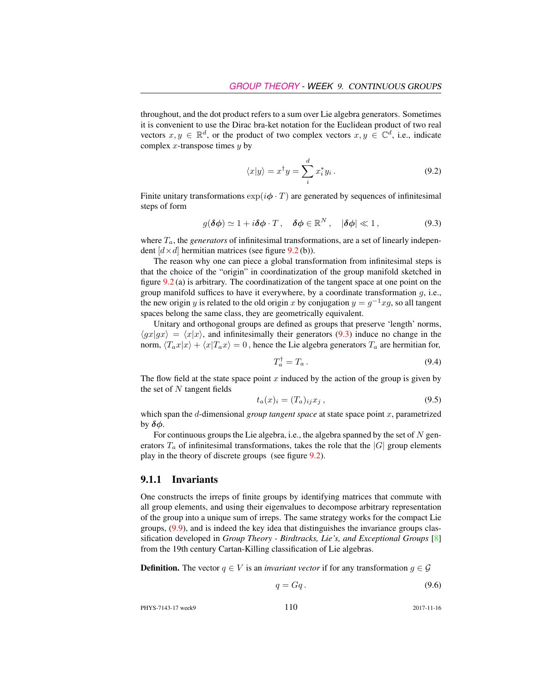throughout, and the dot product refers to a sum over Lie algebra generators. Sometimes it is convenient to use the Dirac bra-ket notation for the Euclidean product of two real vectors  $x, y \in \mathbb{R}^d$ , or the product of two complex vectors  $x, y \in \mathbb{C}^d$ , i.e., indicate complex x-transpose times  $y$  by

$$
\langle x|y\rangle = x^{\dagger}y = \sum_{i}^{d} x_{i}^{*}y_{i}.
$$
 (9.2)

Finite unitary transformations  $\exp(i\phi \cdot T)$  are generated by sequences of infinitesimal steps of form

$$
g(\delta\phi) \simeq 1 + i\delta\phi \cdot T \,, \quad \delta\phi \in \mathbb{R}^N \,, \quad |\delta\phi| \ll 1 \,, \tag{9.3}
$$

where  $T_a$ , the *generators* of infinitesimal transformations, are a set of linearly independent  $[d \times d]$  hermitian matrices (see figure 9.2 (b)).

The reason why one can piece a global transformation from infinitesimal steps is that the choice of the "origin" in coordinatization of the group manifold sketched in figure 9.2 (a) is arbitrary. The coordinatization of the tangent space at one point on the group manifold suffices to have it everywhere, by a coordinate transformation  $g$ , i.e., the new origin y is related to the old origin x by conjugation  $y = g^{-1}xg$ , so all tangent spaces belong the same class, they are geometrically equivalent.

Unitary and orthogonal groups are defined as groups that preserve 'length' norms,  $\langle gx|gx \rangle = \langle x|x \rangle$ , and infinitesimally their generators (9.3) induce no change in the norm,  $\langle T_a x | x \rangle + \langle x | T_a x \rangle = 0$ , hence the Lie algebra generators  $T_a$  are hermitian for,

$$
T_a^\dagger = T_a \,. \tag{9.4}
$$

The flow field at the state space point x induced by the action of the group is given by the set of  $N$  tangent fields

$$
t_a(x)_i = (T_a)_{ij} x_j , \qquad (9.5)
$$

which span the d-dimensional *group tangent space* at state space point x, parametrized by  $\delta\phi$ .

For continuous groups the Lie algebra, i.e., the algebra spanned by the set of  $N$  generators  $T_a$  of infinitesimal transformations, takes the role that the  $|G|$  group elements play in the theory of discrete groups (see figure 9.2).

#### 9.1.1 Invariants

One constructs the irreps of finite groups by identifying matrices that commute with all group elements, and using their eigenvalues to decompose arbitrary representation of the group into a unique sum of irreps. The same strategy works for the compact Lie groups, (9.9), and is indeed the key idea that distinguishes the invariance groups classification developed in *Group Theory - Birdtracks, Lie's, and Exceptional Groups* [8] from the 19th century Cartan-Killing classification of Lie algebras.

**Definition.** The vector  $q \in V$  is an *invariant vector* if for any transformation  $g \in \mathcal{G}$ 

$$
q = Gq. \tag{9.6}
$$

PHYS-7143-17 week9 110 2017-11-16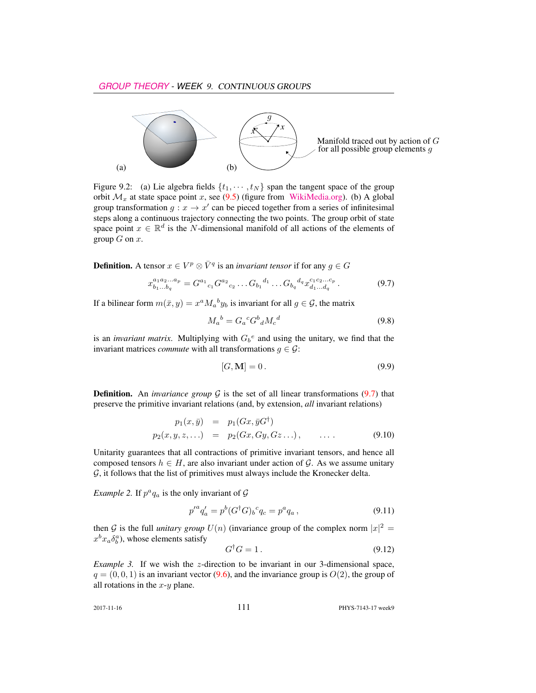

Figure 9.2: (a) Lie algebra fields  $\{t_1, \dots, t_N\}$  span the tangent space of the group orbit  $\mathcal{M}_x$  at state space point x, see (9.5) (figure from [WikiMedia.org\)](https://commons.wikimedia.org/wiki/File:Image_Tangent-plane.svg). (b) A global group transformation  $g: x \to x'$  can be pieced together from a series of infinitesimal steps along a continuous trajectory connecting the two points. The group orbit of state space point  $x \in \mathbb{R}^d$  is the N-dimensional manifold of all actions of the elements of group  $G$  on  $x$ .

**Definition.** A tensor  $x \in V^p \otimes \overline{V}^q$  is an *invariant tensor* if for any  $g \in G$ 

$$
x_{b_1...b_q}^{a_1a_2...a_p} = G^{a_1}{}_{c_1} G^{a_2}{}_{c_2} \dots G_{b_1}{}^{d_1} \dots G_{b_q}{}^{d_q} x_{d_1...d_q}^{c_1c_2...c_p}.
$$
\n
$$
(9.7)
$$

If a bilinear form  $m(\bar{x}, y) = x^a M_a{}^b y_b$  is invariant for all  $g \in \mathcal{G}$ , the matrix

$$
M_a{}^b = G_a{}^c G^b{}_d M_c{}^d \tag{9.8}
$$

is an *invariant matrix*. Multiplying with  $G_b^e$  and using the unitary, we find that the invariant matrices *commute* with all transformations  $g \in \mathcal{G}$ :

$$
[G, \mathbf{M}] = 0. \tag{9.9}
$$

**Definition.** An *invariance group*  $G$  is the set of all linear transformations (9.7) that preserve the primitive invariant relations (and, by extension, *all* invariant relations)

$$
p_1(x, \bar{y}) = p_1(Gx, \bar{y}G^{\dagger})
$$
  
\n
$$
p_2(x, y, z, \ldots) = p_2(Gx, Gy, Gz \ldots), \qquad \ldots.
$$
 (9.10)

Unitarity guarantees that all contractions of primitive invariant tensors, and hence all composed tensors  $h \in H$ , are also invariant under action of G. As we assume unitary  $G$ , it follows that the list of primitives must always include the Kronecker delta.

*Example 2.* If  $p^a q_a$  is the only invariant of  $\mathcal G$ 

$$
p'^{a}q'_{a} = p^{b}(G^{\dagger}G)_{b}{}^{c}q_{c} = p^{a}q_{a}, \qquad (9.11)
$$

then G is the full *unitary group*  $U(n)$  (invariance group of the complex norm  $|x|^2 =$  $x^b x_a \delta_b^a$ ), whose elements satisfy

$$
G^{\dagger}G = 1. \tag{9.12}
$$

*Example 3.* If we wish the z-direction to be invariant in our 3-dimensional space,  $q = (0, 0, 1)$  is an invariant vector (9.6), and the invariance group is  $O(2)$ , the group of all rotations in the  $x-y$  plane.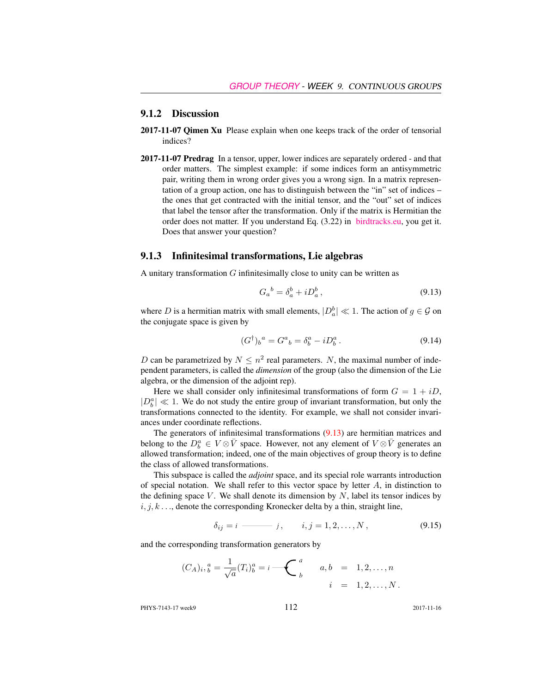#### 9.1.2 Discussion

- 2017-11-07 Qimen Xu Please explain when one keeps track of the order of tensorial indices?
- 2017-11-07 Predrag In a tensor, upper, lower indices are separately ordered and that order matters. The simplest example: if some indices form an antisymmetric pair, writing them in wrong order gives you a wrong sign. In a matrix representation of a group action, one has to distinguish between the "in" set of indices – the ones that get contracted with the initial tensor, and the "out" set of indices that label the tensor after the transformation. Only if the matrix is Hermitian the order does not matter. If you understand Eq. (3.22) in [birdtracks.eu,](http://birdtracks.eu/courses/PHYS-7143-17/PCgr_pp16_20.pdf) you get it. Does that answer your question?

#### 9.1.3 Infinitesimal transformations, Lie algebras

A unitary transformation  $G$  infinitesimally close to unity can be written as

$$
G_a{}^b = \delta_a^b + i D_a^b, \qquad (9.13)
$$

where D is a hermitian matrix with small elements,  $|D_a^b| \ll 1$ . The action of  $g \in \mathcal{G}$  on the conjugate space is given by

$$
(G^{\dagger})_b{}^a = G^a{}_b = \delta^a_b - i D^a_b. \tag{9.14}
$$

D can be parametrized by  $N \leq n^2$  real parameters. N, the maximal number of independent parameters, is called the *dimension* of the group (also the dimension of the Lie algebra, or the dimension of the adjoint rep).

Here we shall consider only infinitesimal transformations of form  $G = 1 + iD$ ,  $|D_b^a| \ll 1$ . We do not study the entire group of invariant transformation, but only the transformations connected to the identity. For example, we shall not consider invariances under coordinate reflections.

The generators of infinitesimal transformations (9.13) are hermitian matrices and belong to the  $D_b^a \in V \otimes \bar{V}$  space. However, not any element of  $V \otimes \bar{V}$  generates an allowed transformation; indeed, one of the main objectives of group theory is to define the class of allowed transformations.

This subspace is called the *adjoint* space, and its special role warrants introduction of special notation. We shall refer to this vector space by letter  $A$ , in distinction to the defining space  $V$ . We shall denote its dimension by  $N$ , label its tensor indices by  $i, j, k, \ldots$ , denote the corresponding Kronecker delta by a thin, straight line,

$$
\delta_{ij} = i \longrightarrow j, \qquad i, j = 1, 2, \dots, N, \tag{9.15}
$$

and the corresponding transformation generators by

$$
(C_A)_i, \, \, a^a = \frac{1}{\sqrt{a}} (T_i)_b^a = i \, \bigoplus \, \begin{pmatrix} a \\ b \end{pmatrix} \qquad a, \, b \quad = \quad 1, 2, \ldots, n
$$
\n
$$
i \quad = \quad 1, 2, \ldots, N \, .
$$

PHYS-7143-17 week9 112 2017-11-16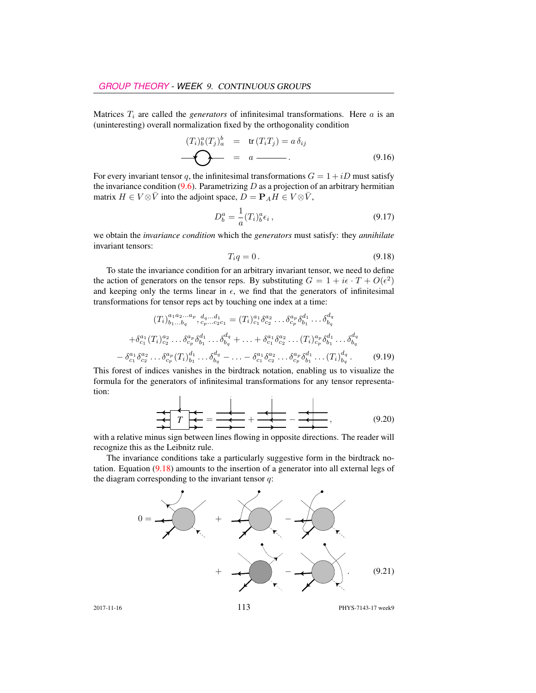Matrices  $T_i$  are called the *generators* of infinitesimal transformations. Here  $a$  is an (uninteresting) overall normalization fixed by the orthogonality condition

$$
(T_i)_b^a (T_j)_a^b = \text{tr}(T_i T_j) = a \,\delta_{ij}
$$
\n
$$
\longrightarrow \qquad \qquad \bullet \qquad \qquad 0.16)
$$

For every invariant tensor q, the infinitesimal transformations  $G = 1 + iD$  must satisfy the invariance condition  $(9.6)$ . Parametrizing D as a projection of an arbitrary hermitian matrix  $H \in V \otimes \overline{V}$  into the adjoint space,  $D = P_A H \in V \otimes \overline{V}$ ,

$$
D_b^a = \frac{1}{a}(T_i)_b^a \epsilon_i \,, \tag{9.17}
$$

we obtain the *invariance condition* which the *generators* must satisfy: they *annihilate* invariant tensors:

$$
T_i q = 0. \t\t(9.18)
$$

To state the invariance condition for an arbitrary invariant tensor, we need to define the action of generators on the tensor reps. By substituting  $G = 1 + i\epsilon \cdot T + O(\epsilon^2)$ and keeping only the terms linear in  $\epsilon$ , we find that the generators of infinitesimal transformations for tensor reps act by touching one index at a time:

$$
(T_i)_{b_1...b_q}^{a_1 a_2...a_p}, d_q...d_1 = (T_i)_{c_1}^{a_1} \delta_{c_2}^{a_2} ... \delta_{c_p}^{a_p} \delta_{b_1}^{d_1} ... \delta_{b_q}^{d_q}
$$
  
+ $\delta_{c_1}^{a_1} (T_i)_{c_2}^{a_2} ... \delta_{c_p}^{a_p} \delta_{b_1}^{d_1} ... \delta_{b_q}^{d_q} + ... + \delta_{c_1}^{a_1} \delta_{c_2}^{a_2} ... (T_i)_{c_p}^{a_p} \delta_{b_1}^{d_1} ... \delta_{b_q}^{d_q}$   
- $\delta_{c_1}^{a_1} \delta_{c_2}^{a_2} ... \delta_{c_p}^{a_p} (T_i)_{b_1}^{d_1} ... \delta_{b_q}^{d_q} - ... - \delta_{c_1}^{a_1} \delta_{c_2}^{a_2} ... \delta_{c_p}^{a_p} \delta_{b_1}^{d_1} ... (T_i)_{b_q}^{d_q}.$  (9.19)

This forest of indices vanishes in the birdtrack notation, enabling us to visualize the formula for the generators of infinitesimal transformations for any tensor representation:

$$
\frac{1}{\uparrow \uparrow \uparrow} = \frac{1}{\frac{1}{\uparrow \uparrow \uparrow}} = \frac{1}{\frac{1}{\downarrow \downarrow \downarrow}} + \frac{1}{\frac{1}{\downarrow \downarrow \downarrow}} - \frac{1}{\frac{1}{\downarrow \downarrow \downarrow}}.
$$
(9.20)

with a relative minus sign between lines flowing in opposite directions. The reader will recognize this as the Leibnitz rule.

The invariance conditions take a particularly suggestive form in the birdtrack notation. Equation (9.18) amounts to the insertion of a generator into all external legs of the diagram corresponding to the invariant tensor  $q$ :

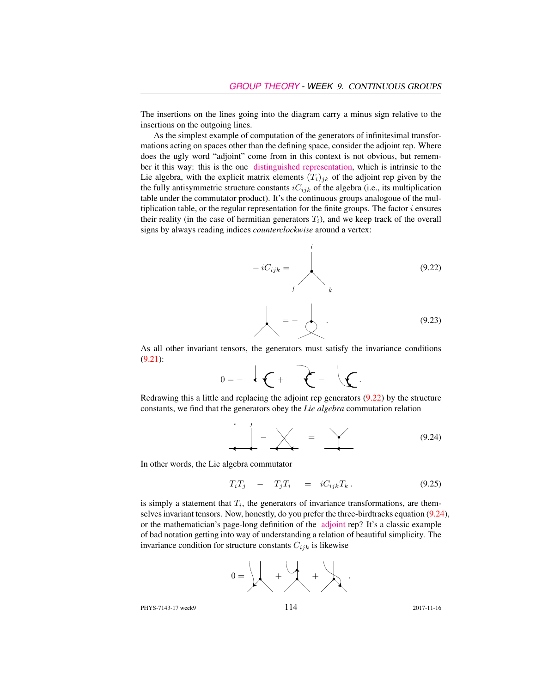The insertions on the lines going into the diagram carry a minus sign relative to the insertions on the outgoing lines.

As the simplest example of computation of the generators of infinitesimal transformations acting on spaces other than the defining space, consider the adjoint rep. Where does the ugly word "adjoint" come from in this context is not obvious, but remember it this way: this is the one [distinguished representation,](http://jakobschwichtenberg.com/adjoint-representation/) which is intrinsic to the Lie algebra, with the explicit matrix elements  $(T_i)_{ik}$  of the adjoint rep given by the the fully antisymmetric structure constants  $iC_{ijk}$  of the algebra (i.e., its multiplication table under the commutator product). It's the continuous groups analogoue of the multiplication table, or the regular representation for the finite groups. The factor  $i$  ensures their reality (in the case of hermitian generators  $T_i$ ), and we keep track of the overall signs by always reading indices *counterclockwise* around a vertex:

$$
-iC_{ijk} = \n\begin{pmatrix}\n0.22 \\
k\n\end{pmatrix}
$$

$$
= - \qquad (9.23)
$$

As all other invariant tensors, the generators must satisfy the invariance conditions (9.21):

$$
0 = -\frac{1}{2} \left( \frac{1}{2} + \frac{1}{2} \right) \left( \frac{1}{2} + \frac{1}{2} \right) \left( \frac{1}{2} + \frac{1}{2} \right)
$$

Redrawing this a little and replacing the adjoint rep generators (9.22) by the structure constants, we find that the generators obey the *Lie algebra* commutation relation

$$
\frac{1}{2} - \frac{1}{2} - \frac{1}{2} = \frac{1}{2}
$$
 (9.24)

In other words, the Lie algebra commutator

$$
T_i T_j - T_j T_i = i C_{ijk} T_k. \qquad (9.25)
$$

is simply a statement that  $T_i$ , the generators of invariance transformations, are themselves invariant tensors. Now, honestly, do you prefer the three-birdtracks equation (9.24), or the mathematician's page-long definition of the [adjoint](https://www.encyclopediaofmath.org/index.php/Adjoint_representation_of_a_Lie_group) rep? It's a classic example of bad notation getting into way of understanding a relation of beautiful simplicity. The invariance condition for structure constants  $C_{ijk}$  is likewise



PHYS-7143-17 week9 114 2017-11-16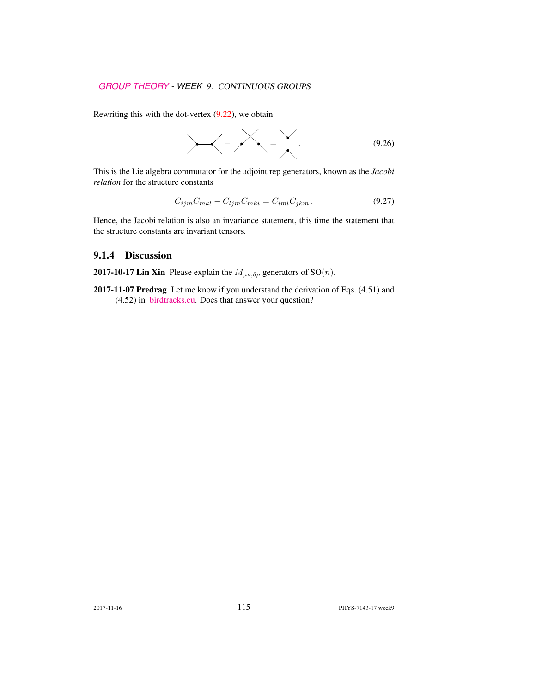Rewriting this with the dot-vertex  $(9.22)$ , we obtain

$$
\angle - \angle - \angle = \angle . \tag{9.26}
$$

This is the Lie algebra commutator for the adjoint rep generators, known as the *Jacobi relation* for the structure constants

$$
C_{ijm}C_{mkl} - C_{ljm}C_{mki} = C_{iml}C_{jkm}.
$$
\n(9.27)

Hence, the Jacobi relation is also an invariance statement, this time the statement that the structure constants are invariant tensors.

#### 9.1.4 Discussion

**2017-10-17 Lin Xin** Please explain the  $M_{\mu\nu,\delta\rho}$  generators of SO(*n*).

2017-11-07 Predrag Let me know if you understand the derivation of Eqs. (4.51) and (4.52) in [birdtracks.eu.](http://birdtracks.eu/courses/PHYS-7143-17/PCgr_pp33_38.pdf) Does that answer your question?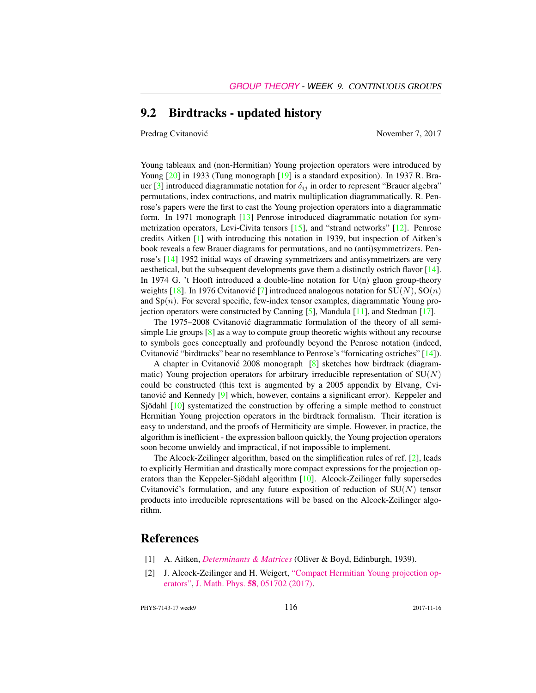### 9.2 Birdtracks - updated history

Predrag Cvitanović November 7, 2017

Young tableaux and (non-Hermitian) Young projection operators were introduced by Young [20] in 1933 (Tung monograph [19] is a standard exposition). In 1937 R. Brauer [3] introduced diagrammatic notation for  $\delta_{ij}$  in order to represent "Brauer algebra" permutations, index contractions, and matrix multiplication diagrammatically. R. Penrose's papers were the first to cast the Young projection operators into a diagrammatic form. In 1971 monograph [13] Penrose introduced diagrammatic notation for symmetrization operators, Levi-Civita tensors [15], and "strand networks" [12]. Penrose credits Aitken [1] with introducing this notation in 1939, but inspection of Aitken's book reveals a few Brauer diagrams for permutations, and no (anti)symmetrizers. Penrose's [14] 1952 initial ways of drawing symmetrizers and antisymmetrizers are very aesthetical, but the subsequent developments gave them a distinctly ostrich flavor [14]. In 1974 G. 't Hooft introduced a double-line notation for  $U(n)$  gluon group-theory weights [18]. In 1976 Cvitanovic [7] introduced analogous notation for  $SU(N)$ ,  $SO(n)$ and  $Sp(n)$ . For several specific, few-index tensor examples, diagrammatic Young projection operators were constructed by Canning [5], Mandula [11], and Stedman [17].

The 1975–2008 Cvitanović diagrammatic formulation of the theory of all semisimple Lie groups [8] as a way to compute group theoretic wights without any recourse to symbols goes conceptually and profoundly beyond the Penrose notation (indeed, Cvitanović "birdtracks" bear no resemblance to Penrose's "fornicating ostriches"  $[14]$ ).

A chapter in Cvitanović 2008 monograph  $[8]$  sketches how birdtrack (diagrammatic) Young projection operators for arbitrary irreducible representation of  $SU(N)$ could be constructed (this text is augmented by a 2005 appendix by Elvang, Cvitanović and Kennedy  $[9]$  which, however, contains a significant error). Keppeler and Sjödahl [10] systematized the construction by offering a simple method to construct Hermitian Young projection operators in the birdtrack formalism. Their iteration is easy to understand, and the proofs of Hermiticity are simple. However, in practice, the algorithm is inefficient - the expression balloon quickly, the Young projection operators soon become unwieldy and impractical, if not impossible to implement.

The Alcock-Zeilinger algorithm, based on the simplification rules of ref. [2], leads to explicitly Hermitian and drastically more compact expressions for the projection operators than the Keppeler-Sjödahl algorithm [10]. Alcock-Zeilinger fully supersedes Cvitanović's formulation, and any future exposition of reduction of  $SU(N)$  tensor products into irreducible representations will be based on the Alcock-Zeilinger algorithm.

## References

- [1] A. Aitken, *[Determinants & Matrices](http://books.google.com/books?vid=ISBN9781473347106)* (Oliver & Boyd, Edinburgh, 1939).
- [2] J. Alcock-Zeilinger and H. Weigert, ["Compact Hermitian Young projection op](http://dx.doi.org/10.1063/1.4983478)[erators",](http://dx.doi.org/10.1063/1.4983478) J. Math. Phys. 58[, 051702 \(2017\).](http://dx.doi.org/10.1063/1.4983478)

PHYS-7143-17 week9 116 2017-11-16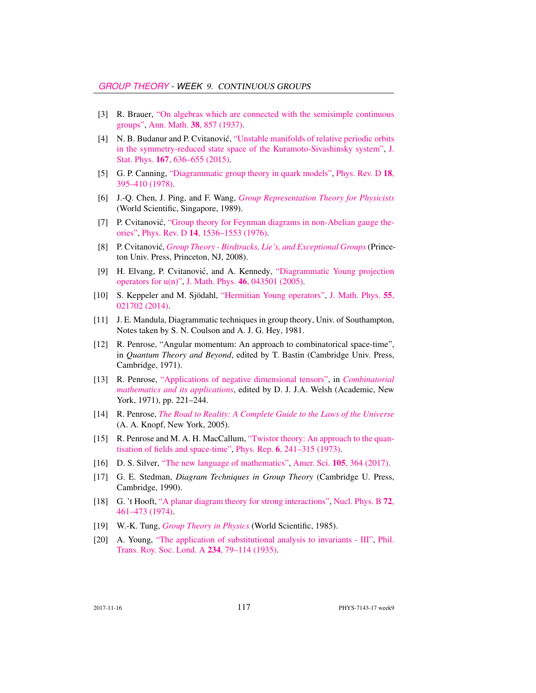- [3] R. Brauer, ["On algebras which are connected with the semisimple continuous](http://dx.doi.org/10.2307/1968843) [groups",](http://dx.doi.org/10.2307/1968843) Ann. Math. 38[, 857 \(1937\).](http://dx.doi.org/10.2307/1968843)
- [4] N. B. Budanur and P. Cvitanović, ["Unstable manifolds of relative periodic orbits](http://dx.doi.org/10.1007/s10955-016-1672-z) [in the symmetry-reduced state space of the Kuramoto-Sivashinsky system",](http://dx.doi.org/10.1007/s10955-016-1672-z) [J.](http://dx.doi.org/10.1007/s10955-016-1672-z) Stat. Phys. 167[, 636–655 \(2015\).](http://dx.doi.org/10.1007/s10955-016-1672-z)
- [5] G. P. Canning, ["Diagrammatic group theory in quark models",](http://dx.doi.org/10.1103/PhysRevD.18.395) [Phys. Rev. D](http://dx.doi.org/10.1103/PhysRevD.18.395) 18, [395–410 \(1978\).](http://dx.doi.org/10.1103/PhysRevD.18.395)
- [6] J.-Q. Chen, J. Ping, and F. Wang, *[Group Representation Theory for Physicists](http://dx.doi.org/10.1142/0262)* (World Scientific, Singapore, 1989).
- [7] P. Cvitanović, ["Group theory for Feynman diagrams in non-Abelian gauge the](http://dx.doi.org/10.1103/PhysRevD.14.1536)[ories",](http://dx.doi.org/10.1103/PhysRevD.14.1536) Phys. Rev. D 14[, 1536–1553 \(1976\).](http://dx.doi.org/10.1103/PhysRevD.14.1536)
- [8] P. Cvitanovic,´ *[Group Theory Birdtracks, Lie's, and Exceptional Groups](http://dx.doi.org/10.1515/9781400837670)*(Princeton Univ. Press, Princeton, NJ, 2008).
- [9] H. Elvang, P. Cvitanović, and A. Kennedy, ["Diagrammatic Young projection](http://dx.doi.org/10.1063/1.1832753) [operators for u\(n\)",](http://dx.doi.org/10.1063/1.1832753) J. Math. Phys. 46[, 043501 \(2005\).](http://dx.doi.org/10.1063/1.1832753)
- [10] S. Keppeler and M. Sjödahl, ["Hermitian Young operators",](http://dx.doi.org/10.1063/1.4865177) [J. Math. Phys.](http://dx.doi.org/10.1063/1.4865177) 55, [021702 \(2014\).](http://dx.doi.org/10.1063/1.4865177)
- [11] J. E. Mandula, Diagrammatic techniques in group theory, Univ. of Southampton, Notes taken by S. N. Coulson and A. J. G. Hey, 1981.
- [12] R. Penrose, "Angular momentum: An approach to combinatorical space-time", in *Quantum Theory and Beyond*, edited by T. Bastin (Cambridge Univ. Press, Cambridge, 1971).
- [13] R. Penrose, ["Applications of negative dimensional tensors",](http://homepages.math.uic.edu/~kauffman/Penrose.pdf) in *[Combinatorial](http://homepages.math.uic.edu/~kauffman/Penrose.pdf) [mathematics and its applications](http://homepages.math.uic.edu/~kauffman/Penrose.pdf)*, edited by D. J. J.A. Welsh (Academic, New York, 1971), pp. 221–244.
- [14] R. Penrose, *[The Road to Reality: A Complete Guide to the Laws of the Universe](http://books.google.com/books?vid=ISBN9781446418208)* (A. A. Knopf, New York, 2005).
- [15] R. Penrose and M. A. H. MacCallum, ["Twistor theory: An approach to the quan](http://dx.doi.org/10.1016/0370-1573(73)90008-2)[tisation of fields and space-time",](http://dx.doi.org/10.1016/0370-1573(73)90008-2) Phys. Rep. 6[, 241–315 \(1973\).](http://dx.doi.org/10.1016/0370-1573(73)90008-2)
- [16] D. S. Silver, ["The new language of mathematics",](http://dx.doi.org/10.1511/2017.105.6.364) Amer. Sci. 105[, 364 \(2017\).](http://dx.doi.org/10.1511/2017.105.6.364)
- [17] G. E. Stedman, *Diagram Techniques in Group Theory* (Cambridge U. Press, Cambridge, 1990).
- [18] G. 't Hooft, ["A planar diagram theory for strong interactions",](http://dx.doi.org/10.1016/0550-3213(74)90154-0) [Nucl. Phys. B](http://dx.doi.org/10.1016/0550-3213(74)90154-0) 72, [461–473 \(1974\).](http://dx.doi.org/10.1016/0550-3213(74)90154-0)
- [19] W.-K. Tung, *[Group Theory in Physics](http://dx.doi.org/10.1142/0097)* (World Scientific, 1985).
- [20] A. Young, ["The application of substitutional analysis to invariants III",](http://dx.doi.org/10.1098/rsta.1935.0001) [Phil.](http://dx.doi.org/10.1098/rsta.1935.0001) [Trans. Roy. Soc. Lond. A](http://dx.doi.org/10.1098/rsta.1935.0001) 234, 79–114 (1935).

2017-11-16 **117** PHYS-7143-17 week9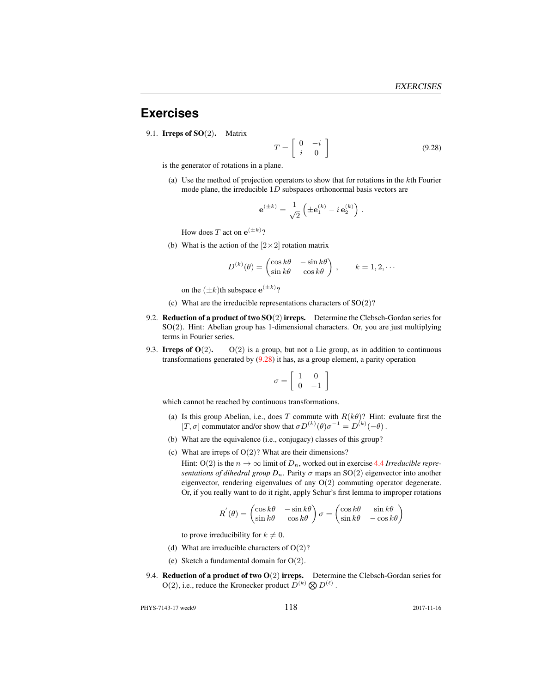## **Exercises**

9.1. **Irreps of SO**(2). Matrix

$$
T = \left[ \begin{array}{cc} 0 & -i \\ i & 0 \end{array} \right] \tag{9.28}
$$

is the generator of rotations in a plane.

(a) Use the method of projection operators to show that for rotations in the kth Fourier mode plane, the irreducible  $1D$  subspaces orthonormal basis vectors are

$$
\mathbf{e}^{(\pm k)} = \frac{1}{\sqrt{2}} \left( \pm \mathbf{e}_1^{(k)} - i \,\mathbf{e}_2^{(k)} \right) \,.
$$

How does T act on  $e^{(\pm k)}$ ?

(b) What is the action of the  $[2 \times 2]$  rotation matrix

$$
D^{(k)}(\theta) = \begin{pmatrix} \cos k\theta & -\sin k\theta \\ \sin k\theta & \cos k\theta \end{pmatrix}, \qquad k = 1, 2, \cdots
$$

on the  $(\pm k)$ th subspace  $e^{(\pm k)}$ ?

- (c) What are the irreducible representations characters of SO(2)?
- 9.2. Reduction of a product of two  $SO(2)$  irreps. Determine the Clebsch-Gordan series for SO(2). Hint: Abelian group has 1-dimensional characters. Or, you are just multiplying terms in Fourier series.
- 9.3. Irreps of  $O(2)$ .  $O(2)$  is a group, but not a Lie group, as in addition to continuous transformations generated by (9.28) it has, as a group element, a parity operation

$$
\sigma = \left[ \begin{array}{cc} 1 & 0 \\ 0 & -1 \end{array} \right]
$$

which cannot be reached by continuous transformations.

- (a) Is this group Abelian, i.e., does T commute with  $R(k\theta)$ ? Hint: evaluate first the [T,  $\sigma$ ] commutator and/or show that  $\sigma D^{(k)}(\theta) \sigma^{-1} = D^{(k)}(-\theta)$ .
- (b) What are the equivalence (i.e., conjugacy) classes of this group?
- (c) What are irreps of  $O(2)$ ? What are their dimensions?

Hint: O(2) is the  $n \to \infty$  limit of  $D_n$ , worked out in exercise 4.4 *Irreducible representations of dihedral group*  $D_n$ . Parity  $\sigma$  maps an SO(2) eigenvector into another eigenvector, rendering eigenvalues of any O(2) commuting operator degenerate. Or, if you really want to do it right, apply Schur's first lemma to improper rotations

$$
R^{'}(\theta) = \begin{pmatrix} \cos k\theta & -\sin k\theta \\ \sin k\theta & \cos k\theta \end{pmatrix} \sigma = \begin{pmatrix} \cos k\theta & \sin k\theta \\ \sin k\theta & -\cos k\theta \end{pmatrix}
$$

to prove irreducibility for  $k \neq 0$ .

- (d) What are irreducible characters of  $O(2)$ ?
- (e) Sketch a fundamental domain for  $O(2)$ .
- 9.4. **Reduction of a product of two O** $(2)$  **irreps.** Determine the Clebsch-Gordan series for  $O(2)$ , i.e., reduce the Kronecker product  $D^{(k)} \otimes D^{(\ell)}$ .

PHYS-7143-17 week9 118 2017-11-16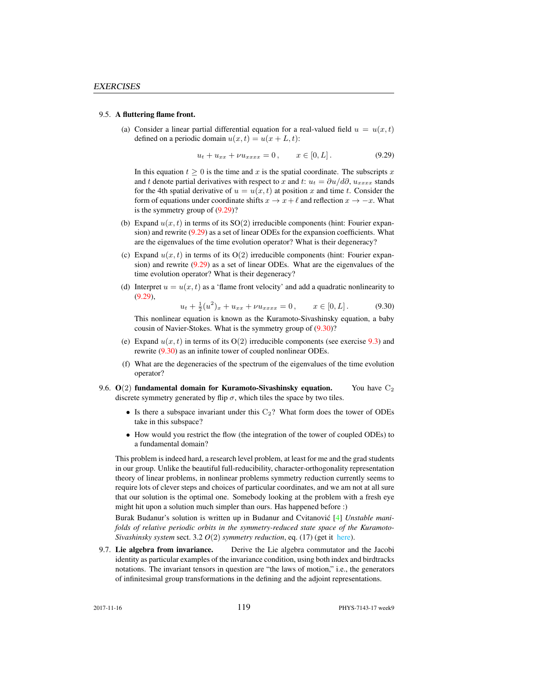#### 9.5. A fluttering flame front.

(a) Consider a linear partial differential equation for a real-valued field  $u = u(x, t)$ defined on a periodic domain  $u(x, t) = u(x + L, t)$ :

$$
u_t + u_{xx} + \nu u_{xxxx} = 0, \qquad x \in [0, L]. \tag{9.29}
$$

In this equation  $t \geq 0$  is the time and x is the spatial coordinate. The subscripts x and t denote partial derivatives with respect to x and t:  $u_t = \partial u/d\partial$ ,  $u_{xxxx}$  stands for the 4th spatial derivative of  $u = u(x, t)$  at position x and time t. Consider the form of equations under coordinate shifts  $x \to x + \ell$  and reflection  $x \to -x$ . What is the symmetry group of (9.29)?

- (b) Expand  $u(x, t)$  in terms of its  $SO(2)$  irreducible components (hint: Fourier expansion) and rewrite (9.29) as a set of linear ODEs for the expansion coefficients. What are the eigenvalues of the time evolution operator? What is their degeneracy?
- (c) Expand  $u(x, t)$  in terms of its  $O(2)$  irreducible components (hint: Fourier expansion) and rewrite (9.29) as a set of linear ODEs. What are the eigenvalues of the time evolution operator? What is their degeneracy?
- (d) Interpret  $u = u(x, t)$  as a 'flame front velocity' and add a quadratic nonlinearity to (9.29),

$$
u_t + \frac{1}{2}(u^2)_x + u_{xx} + \nu u_{xxxx} = 0, \qquad x \in [0, L]. \tag{9.30}
$$

This nonlinear equation is known as the Kuramoto-Sivashinsky equation, a baby cousin of Navier-Stokes. What is the symmetry group of (9.30)?

- (e) Expand  $u(x, t)$  in terms of its  $O(2)$  irreducible components (see exercise 9.3) and rewrite (9.30) as an infinite tower of coupled nonlinear ODEs.
- (f) What are the degeneracies of the spectrum of the eigenvalues of the time evolution operator?
- 9.6.  $O(2)$  fundamental domain for Kuramoto-Sivashinsky equation. You have  $C_2$ discrete symmetry generated by flip  $\sigma$ , which tiles the space by two tiles.
	- Is there a subspace invariant under this  $C_2$ ? What form does the tower of ODEs take in this subspace?
	- How would you restrict the flow (the integration of the tower of coupled ODEs) to a fundamental domain?

This problem is indeed hard, a research level problem, at least for me and the grad students in our group. Unlike the beautiful full-reducibility, character-orthogonality representation theory of linear problems, in nonlinear problems symmetry reduction currently seems to require lots of clever steps and choices of particular coordinates, and we am not at all sure that our solution is the optimal one. Somebody looking at the problem with a fresh eye might hit upon a solution much simpler than ours. Has happened before :)

Burak Budanur's solution is written up in Budanur and Cvitanovic [4] *Unstable manifolds of relative periodic orbits in the symmetry-reduced state space of the Kuramoto-Sivashinsky system* sect. 3.2 *O*(2) *symmetry reduction*, eq. (17) (get it [here\)](#page-0-0).

9.7. Lie algebra from invariance. Derive the Lie algebra commutator and the Jacobi identity as particular examples of the invariance condition, using both index and birdtracks notations. The invariant tensors in question are "the laws of motion," i.e., the generators of infinitesimal group transformations in the defining and the adjoint representations.